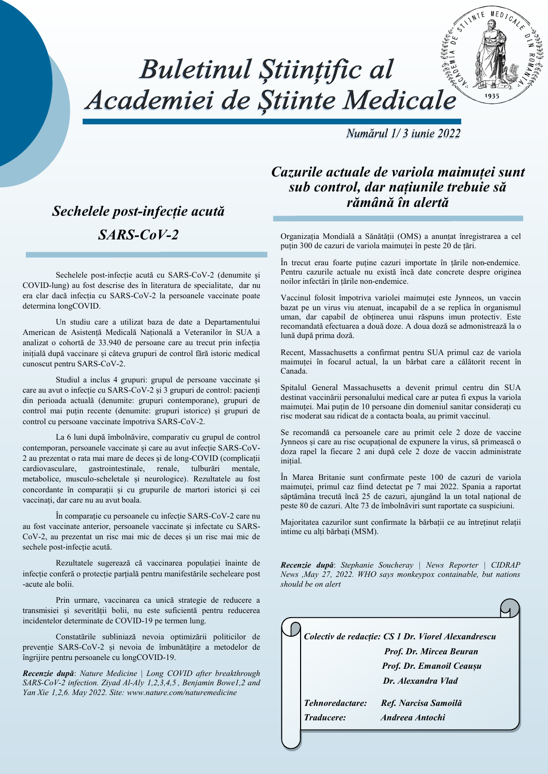# Buletinul Științific al Academiei de Stiinte Medicale

Numărul 1/3 iunie 2022

 $MFD$ 

#### *Sechelele post-infecție acută SARS-CoV-2*

Sechelele post-infecție acută cu SARS-CoV-2 (denumite și COVID-lung) au fost descrise des în literatura de specialitate, dar nu era clar dacă infecția cu SARS-CoV-2 la persoanele vaccinate poate determina longCOVID.

Un studiu care a utilizat baza de date a Departamentului American de Asistență Medicală Națională a Veteranilor în SUA a analizat o cohortă de 33.940 de persoane care au trecut prin infecția inițială după vaccinare și câteva grupuri de control fără istoric medical cunoscut pentru SARS-CoV-2.

Studiul a inclus 4 grupuri: grupul de persoane vaccinate și care au avut o infecție cu SARS-CoV-2 și 3 grupuri de control: pacienți din perioada actuală (denumite: grupuri contemporane), grupuri de control mai puțin recente (denumite: grupuri istorice) și grupuri de control cu persoane vaccinate împotriva SARS-CoV-2.

La 6 luni după îmbolnăvire, comparativ cu grupul de control contemporan, persoanele vaccinate și care au avut infecție SARS-CoV-2 au prezentat o rata mai mare de deces și de long-COVID (complicații cardiovasculare, gastrointestinale, renale, tulburări mentale, metabolice, musculo-scheletale și neurologice). Rezultatele au fost concordante în comparații și cu grupurile de martori istorici și cei vaccinați, dar care nu au avut boala.

În comparație cu persoanele cu infecție SARS-CoV-2 care nu au fost vaccinate anterior, persoanele vaccinate și infectate cu SARS-CoV-2, au prezentat un risc mai mic de deces și un risc mai mic de sechele post-infecție acută.

Rezultatele sugerează că vaccinarea populației înainte de infecție conferă o protecție parțială pentru manifestările secheleare post -acute ale bolii.

Prin urmare, vaccinarea ca unică strategie de reducere a transmisiei și severității bolii, nu este suficientă pentru reducerea incidentelor determinate de COVID-19 pe termen lung.

Constatările subliniază nevoia optimizării politicilor de prevenție SARS-CoV-2 și nevoia de îmbunătățire a metodelor de îngrijire pentru persoanele cu longCOVID-19.

*Recenzie după*: *Nature Medicine | Long COVID after breakthrough SARS-CoV-2 infection. Ziyad Al-Aly  1,2,3,4,5 , Benjamin Bowe1,2 and Yan Xie  1,2,6. May 2022. Site: [www.nature.com/naturemedicine](http://www.nature.com/naturemedicine)*

*Cazurile actuale de variola maimuței sunt sub control, dar națiunile trebuie să rămână în alertă*

Organizația Mondială a Sănătății (OMS) a anunțat înregistrarea a cel puțin 300 de cazuri de variola maimuței în peste 20 de țări.

În trecut erau foarte puține cazuri importate în țările non-endemice. Pentru cazurile actuale nu există încă date concrete despre originea noilor infectări în țările non-endemice.

Vaccinul folosit împotriva variolei maimuței este Jynneos, un vaccin bazat pe un virus viu atenuat, incapabil de a se replica în organismul uman, dar capabil de obținerea unui răspuns imun protectiv. Este recomandată efectuarea a două doze. A doua doză se admonistrează la o lună după prima doză.

Recent, Massachusetts a confirmat pentru SUA primul caz de variola maimuței în focarul actual, la un bărbat care a călătorit recent în Canada.

Spitalul General Massachusetts a devenit primul centru din SUA destinat vaccinării personalului medical care ar putea fi expus la variola maimuței. Mai puțin de 10 persoane din domeniul sanitar considerați cu risc moderat sau ridicat de a contacta boala, au primit vaccinul.

Se recomandă ca persoanele care au primit cele 2 doze de vaccine Jynneos și care au risc ocupațional de expunere la virus, să primească o doza rapel la fiecare 2 ani după cele 2 doze de vaccin administrate inițial.

În Marea Britanie sunt confirmate peste 100 de cazuri de variola maimuței, primul caz fiind detectat pe 7 mai 2022. Spania a raportat săptămâna trecută încă 25 de cazuri, ajungând la un total național de peste 80 de cazuri. Alte 73 de îmbolnăviri sunt raportate ca suspiciuni.

Majoritatea cazurilor sunt confirmate la bărbații ce au întreținut relații intime cu alti bărbați (MSM).

*Recenzie după*: *[Stephanie Soucheray | News Reporter | CIDRAP](https://www.cidrap.umn.edu/ongoing-programs/news-publishing/news-publishing-staff)  [News](https://www.cidrap.umn.edu/ongoing-programs/news-publishing/news-publishing-staff) ,May 27, 2022. WHO says monkeypox containable, but nations should be on alert*